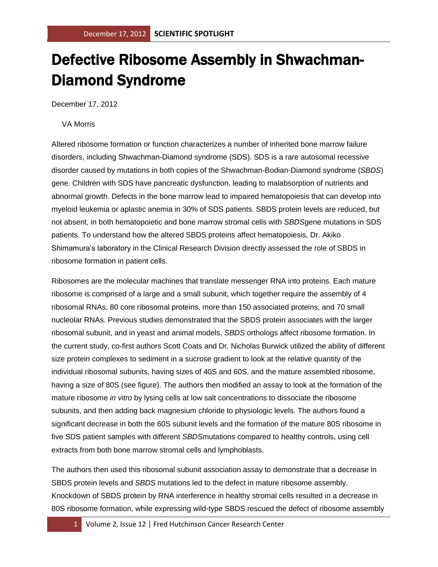## Defective Ribosome Assembly in Shwachman-Diamond Syndrome

December 17, 2012

## VA Morris

Altered ribosome formation or function characterizes a number of inherited bone marrow failure disorders, including Shwachman-Diamond syndrome (SDS). SDS is a rare autosomal recessive disorder caused by mutations in both copies of the Shwachman-Bodian-Diamond syndrome (*SBDS*) gene. Children with SDS have pancreatic dysfunction, leading to malabsorption of nutrients and abnormal growth. Defects in the bone marrow lead to impaired hematopoiesis that can develop into myeloid leukemia or aplastic anemia in 30% of SDS patients. SBDS protein levels are reduced, but not absent, in both hematopoietic and bone marrow stromal cells with *SBDS*gene mutations in SDS patients. To understand how the altered SBDS proteins affect hematopoiesis, Dr. Akiko Shimamura's laboratory in the Clinical Research Division directly assessed the role of SBDS in ribosome formation in patient cells.

Ribosomes are the molecular machines that translate messenger RNA into proteins. Each mature ribosome is comprised of a large and a small subunit, which together require the assembly of 4 ribosomal RNAs, 80 core ribosomal proteins, more than 150 associated proteins, and 70 small nucleolar RNAs. Previous studies demonstrated that the SBDS protein associates with the larger ribosomal subunit, and in yeast and animal models, *SBDS* orthologs affect ribosome formation. In the current study, co-first authors Scott Coats and Dr. Nicholas Burwick utilized the ability of different size protein complexes to sediment in a sucrose gradient to look at the relative quantity of the individual ribosomal subunits, having sizes of 40S and 60S, and the mature assembled ribosome, having a size of 80S (see figure). The authors then modified an assay to look at the formation of the mature ribosome *in vitro* by lysing cells at low salt concentrations to dissociate the ribosome subunits, and then adding back magnesium chloride to physiologic levels. The authors found a significant decrease in both the 60S subunit levels and the formation of the mature 80S ribosome in five SDS patient samples with different *SBDS*mutations compared to healthy controls, using cell extracts from both bone marrow stromal cells and lymphoblasts.

The authors then used this ribosomal subunit association assay to demonstrate that a decrease in SBDS protein levels and *SBDS* mutations led to the defect in mature ribosome assembly. Knockdown of SBDS protein by RNA interference in healthy stromal cells resulted in a decrease in 80S ribosome formation, while expressing wild-type SBDS rescued the defect of ribosome assembly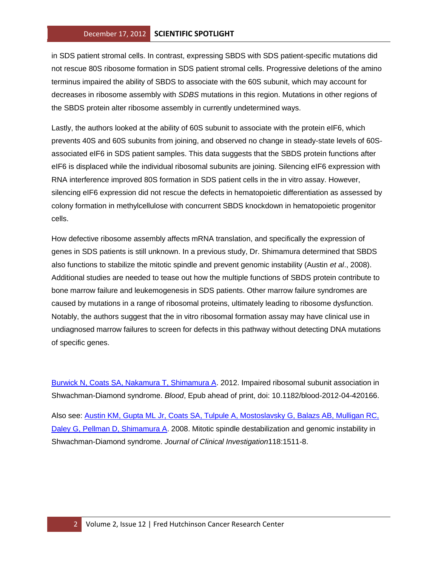## December 17, 2012 **SCIENTIFIC SPOTLIGHT**

in SDS patient stromal cells. In contrast, expressing SBDS with SDS patient-specific mutations did not rescue 80S ribosome formation in SDS patient stromal cells. Progressive deletions of the amino terminus impaired the ability of SBDS to associate with the 60S subunit, which may account for decreases in ribosome assembly with *SDBS* mutations in this region. Mutations in other regions of the SBDS protein alter ribosome assembly in currently undetermined ways.

Lastly, the authors looked at the ability of 60S subunit to associate with the protein eIF6, which prevents 40S and 60S subunits from joining, and observed no change in steady-state levels of 60Sassociated eIF6 in SDS patient samples. This data suggests that the SBDS protein functions after eIF6 is displaced while the individual ribosomal subunits are joining. Silencing eIF6 expression with RNA interference improved 80S formation in SDS patient cells in the in vitro assay. However, silencing eIF6 expression did not rescue the defects in hematopoietic differentiation as assessed by colony formation in methylcellulose with concurrent SBDS knockdown in hematopoietic progenitor cells.

How defective ribosome assembly affects mRNA translation, and specifically the expression of genes in SDS patients is still unknown. In a previous study, Dr. Shimamura determined that SBDS also functions to stabilize the mitotic spindle and prevent genomic instability (Austin *et al*., 2008). Additional studies are needed to tease out how the multiple functions of SBDS protein contribute to bone marrow failure and leukemogenesis in SDS patients. Other marrow failure syndromes are caused by mutations in a range of ribosomal proteins, ultimately leading to ribosome dysfunction. Notably, the authors suggest that the in vitro ribosomal formation assay may have clinical use in undiagnosed marrow failures to screen for defects in this pathway without detecting DNA mutations of specific genes.

[Burwick N, Coats SA, Nakamura T, Shimamura A.](http://www.ncbi.nlm.nih.gov/pubmed/23115272?otool=fhcrclib) 2012. Impaired ribosomal subunit association in Shwachman-Diamond syndrome. *Blood*, Epub ahead of print, doi: 10.1182/blood-2012-04-420166.

Also see: [Austin KM, Gupta ML Jr, Coats SA, Tulpule A, Mostoslavsky G, Balazs AB, Mulligan RC,](http://www.ncbi.nlm.nih.gov/pubmed/18324336?otool=fhcrclib)  [Daley G, Pellman D, Shimamura A.](http://www.ncbi.nlm.nih.gov/pubmed/18324336?otool=fhcrclib) 2008. Mitotic spindle destabilization and genomic instability in Shwachman-Diamond syndrome. *Journal of Clinical Investigation*118:1511-8.